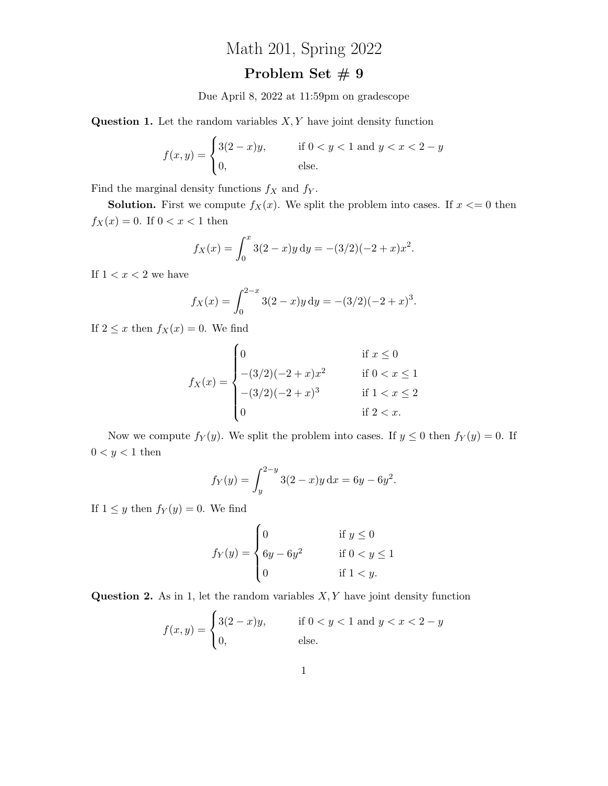## Math 201, Spring 2022

## Problem Set  $\#$  9

Due April 8, 2022 at 11:59pm on gradescope

**Question 1.** Let the random variables  $X, Y$  have joint density function

$$
f(x,y) = \begin{cases} 3(2-x)y, & \text{if } 0 < y < 1 \text{ and } y < x < 2-y \\ 0, & \text{else.} \end{cases}
$$

Find the marginal density functions  $f_X$  and  $f_Y$ .

**Solution.** First we compute  $f_X(x)$ . We split the problem into cases. If  $x \leq 0$  then  $f_X(x) = 0$ . If  $0 < x < 1$  then

$$
f_X(x) = \int_0^x 3(2-x)y \, dy = -(3/2)(-2+x)x^2.
$$

If  $1 < x < 2$  we have

$$
f_X(x) = \int_0^{2-x} 3(2-x)y \, dy = -(3/2)(-2+x)^3
$$

.

If  $2 \leq x$  then  $f_X(x) = 0$ . We find

$$
f_X(x) = \begin{cases} 0 & \text{if } x \le 0 \\ -(3/2)(-2+x)x^2 & \text{if } 0 < x \le 1 \\ -(3/2)(-2+x)^3 & \text{if } 1 < x \le 2 \\ 0 & \text{if } 2 < x. \end{cases}
$$

Now we compute  $f_Y(y)$ . We split the problem into cases. If  $y \leq 0$  then  $f_Y(y) = 0$ . If  $0 < y < 1$  then

$$
f_Y(y) = \int_y^{2-y} 3(2-x)y \, dx = 6y - 6y^2.
$$

If  $1 \leq y$  then  $f_Y(y) = 0$ . We find

$$
f_Y(y) = \begin{cases} 0 & \text{if } y \le 0 \\ 6y - 6y^2 & \text{if } 0 < y \le 1 \\ 0 & \text{if } 1 < y. \end{cases}
$$

**Question 2.** As in 1, let the random variables  $X, Y$  have joint density function

$$
f(x,y) = \begin{cases} 3(2-x)y, & \text{if } 0 < y < 1 \text{ and } y < x < 2-y \\ 0, & \text{else.} \end{cases}
$$